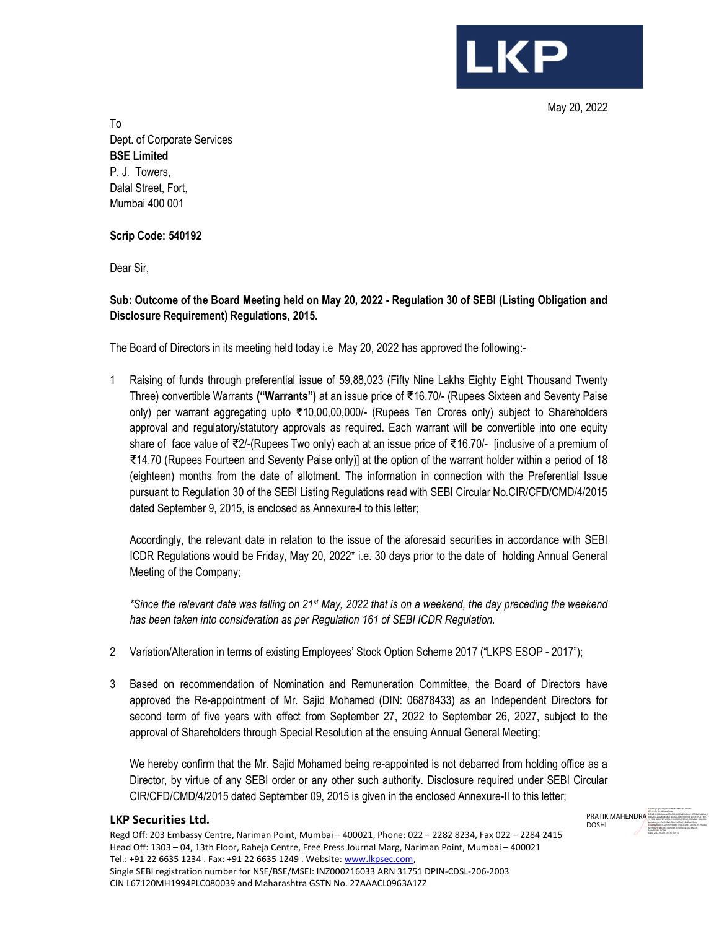**LKP** 

May 20, 2022

To Dept. of Corporate Services BSE Limited P. J. Towers, Dalal Street, Fort, Mumbai 400 001

Scrip Code: 540192

Dear Sir,

# Sub: Outcome of the Board Meeting held on May 20, 2022 - Regulation 30 of SEBI (Listing Obligation and Disclosure Requirement) Regulations, 2015.

The Board of Directors in its meeting held today i.e May 20, 2022 has approved the following:-

1 Raising of funds through preferential issue of 59,88,023 (Fifty Nine Lakhs Eighty Eight Thousand Twenty Three) convertible Warrants ("Warrants") at an issue price of ₹16.70/- (Rupees Sixteen and Seventy Paise only) per warrant aggregating upto ₹10,00,00,000/- (Rupees Ten Crores only) subject to Shareholders approval and regulatory/statutory approvals as required. Each warrant will be convertible into one equity share of face value of ₹2/-(Rupees Two only) each at an issue price of ₹16.70/- [inclusive of a premium of ₹14.70 (Rupees Fourteen and Seventy Paise only)] at the option of the warrant holder within a period of 18 (eighteen) months from the date of allotment. The information in connection with the Preferential Issue pursuant to Regulation 30 of the SEBI Listing Regulations read with SEBI Circular No.CIR/CFD/CMD/4/2015 dated September 9, 2015, is enclosed as Annexure-I to this letter;

Accordingly, the relevant date in relation to the issue of the aforesaid securities in accordance with SEBI ICDR Regulations would be Friday, May 20, 2022\* i.e. 30 days prior to the date of holding Annual General Meeting of the Company;

\*Since the relevant date was falling on 21<sup>st</sup> May, 2022 that is on a weekend, the day preceding the weekend has been taken into consideration as per Regulation 161 of SEBI ICDR Regulation.

- 2 Variation/Alteration in terms of existing Employees' Stock Option Scheme 2017 ("LKPS ESOP 2017");
- 3 Based on recommendation of Nomination and Remuneration Committee, the Board of Directors have approved the Re-appointment of Mr. Sajid Mohamed (DIN: 06878433) as an Independent Directors for second term of five years with effect from September 27, 2022 to September 26, 2027, subject to the approval of Shareholders through Special Resolution at the ensuing Annual General Meeting;

We hereby confirm that the Mr. Sajid Mohamed being re-appointed is not debarred from holding office as a Director, by virtue of any SEBI order or any other such authority. Disclosure required under SEBI Circular CIR/CFD/CMD/4/2015 dated September 09, 2015 is given in the enclosed Annexure-II to this letter;

#### LKP Securities Ltd.



Regd Off: 203 Embassy Centre, Nariman Point, Mumbai – 400021, Phone: 022 – 2282 8234, Fax 022 – 2284 2415 Head Off: 1303 – 04, 13th Floor, Raheja Centre, Free Press Journal Marg, Nariman Point, Mumbai – 400021 Tel.: +91 22 6635 1234 . Fax: +91 22 6635 1249 . Website: www.lkpsec.com, Single SEBI registration number for NSE/BSE/MSEI: INZ000216033 ARN 31751 DPIN-CDSL-206-2003 CIN L67120MH1994PLC080039 and Maharashtra GSTN No. 27AAACL0963A1ZZ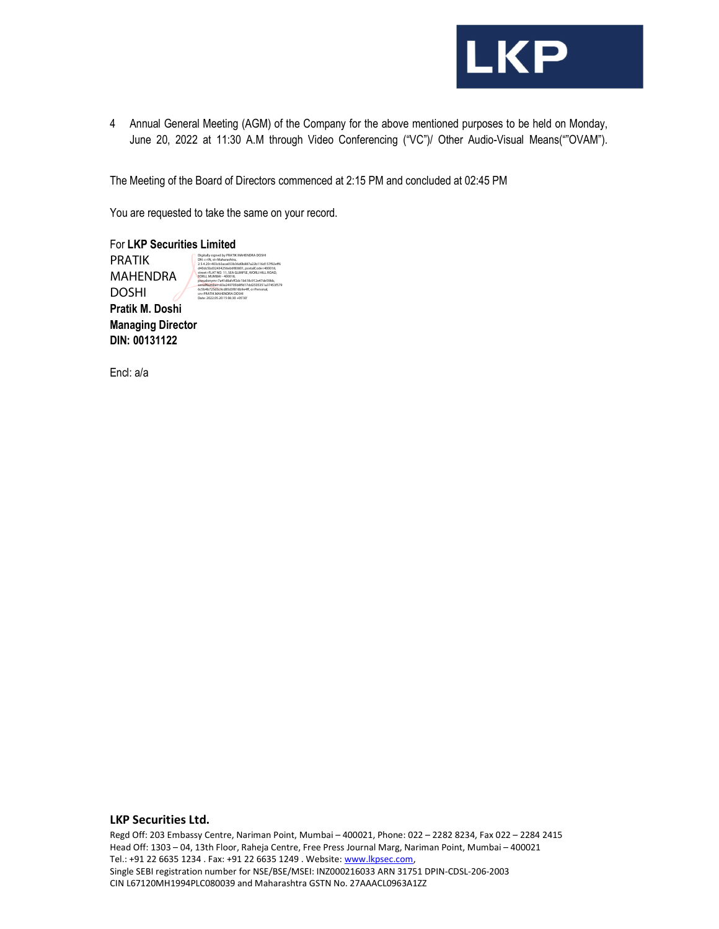

4 Annual General Meeting (AGM) of the Company for the above mentioned purposes to be held on Monday, June 20, 2022 at 11:30 A.M through Video Conferencing ("VC")/ Other Audio-Visual Means(""OVAM").

The Meeting of the Board of Directors commenced at 2:15 PM and concluded at 02:45 PM

You are requested to take the same on your record.

For LKP Securities Limited Pratik M. Doshi Managing Director DIN: 00131122 PRATIK MAHENDRA DOSHI Digitally signed by PRATIK MAHENDRA DOSHI<br>DN: c=IN, st=Maharashtra,<br>2.5.4.20=403cb3aca653b36d0b887a22b116d157922ff<br>440dc5bd32434256eb6883801, postalCode=400018,<br>street=FLAT NO. 11, SEA GLIMPSE, WORLI HILL ROAD,<br>EORLI, MUMB serialNu<u>mber=83e249705b8ffd17dd2505351a37453f579</u><br>6c5b4b725d3c9cd85d3f816b9e4ff, o=Personal,<br>cn=PRATIK MAHENDRA DOSHI<br>Date: 2022.05.20 15:06:30 +05'30'

Encl: a/a

#### LKP Securities Ltd.

Regd Off: 203 Embassy Centre, Nariman Point, Mumbai – 400021, Phone: 022 – 2282 8234, Fax 022 – 2284 2415 Head Off: 1303 – 04, 13th Floor, Raheja Centre, Free Press Journal Marg, Nariman Point, Mumbai – 400021 Tel.: +91 22 6635 1234 . Fax: +91 22 6635 1249 . Website: www.lkpsec.com, Single SEBI registration number for NSE/BSE/MSEI: INZ000216033 ARN 31751 DPIN-CDSL-206-2003 CIN L67120MH1994PLC080039 and Maharashtra GSTN No. 27AAACL0963A1ZZ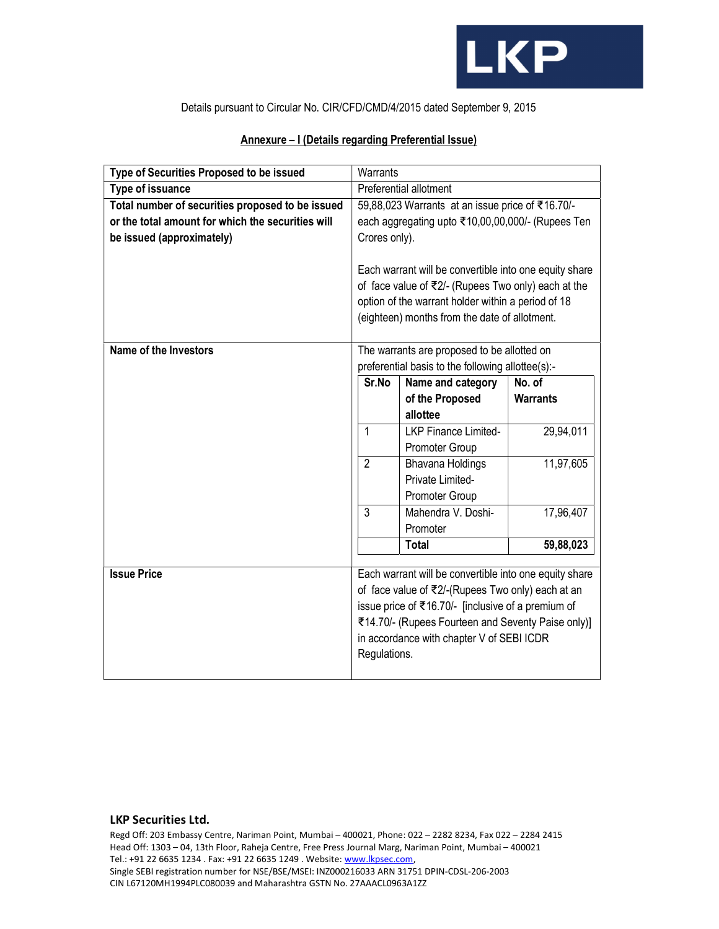

Details pursuant to Circular No. CIR/CFD/CMD/4/2015 dated September 9, 2015

| Type of Securities Proposed to be issued          |                                                        |                                                        |                 |
|---------------------------------------------------|--------------------------------------------------------|--------------------------------------------------------|-----------------|
|                                                   | Warrants                                               |                                                        |                 |
| Type of issuance                                  | Preferential allotment                                 |                                                        |                 |
| Total number of securities proposed to be issued  | 59,88,023 Warrants at an issue price of ₹16.70/-       |                                                        |                 |
| or the total amount for which the securities will | each aggregating upto ₹10,00,00,000/- (Rupees Ten      |                                                        |                 |
| be issued (approximately)                         | Crores only).                                          |                                                        |                 |
|                                                   |                                                        |                                                        |                 |
|                                                   | Each warrant will be convertible into one equity share |                                                        |                 |
|                                                   | of face value of ₹2/- (Rupees Two only) each at the    |                                                        |                 |
|                                                   | option of the warrant holder within a period of 18     |                                                        |                 |
|                                                   |                                                        | (eighteen) months from the date of allotment.          |                 |
|                                                   |                                                        |                                                        |                 |
| <b>Name of the Investors</b>                      | The warrants are proposed to be allotted on            |                                                        |                 |
|                                                   | preferential basis to the following allottee(s):-      |                                                        |                 |
|                                                   | Sr.No                                                  | Name and category                                      | No. of          |
|                                                   |                                                        | of the Proposed                                        | <b>Warrants</b> |
|                                                   |                                                        | allottee                                               |                 |
|                                                   | $\mathbf{1}$                                           | <b>LKP Finance Limited-</b>                            | 29,94,011       |
|                                                   |                                                        | Promoter Group                                         |                 |
|                                                   | $\overline{2}$                                         | <b>Bhavana Holdings</b>                                | 11,97,605       |
|                                                   |                                                        | Private Limited-                                       |                 |
|                                                   |                                                        | Promoter Group                                         |                 |
|                                                   | 3                                                      | Mahendra V. Doshi-                                     | 17,96,407       |
|                                                   |                                                        | Promoter                                               |                 |
|                                                   |                                                        |                                                        |                 |
|                                                   |                                                        | <b>Total</b>                                           |                 |
|                                                   |                                                        |                                                        | 59,88,023       |
| <b>Issue Price</b>                                |                                                        | Each warrant will be convertible into one equity share |                 |
|                                                   |                                                        | of face value of ₹2/-(Rupees Two only) each at an      |                 |
|                                                   |                                                        |                                                        |                 |
|                                                   |                                                        | issue price of ₹16.70/- [inclusive of a premium of     |                 |
|                                                   |                                                        | ₹14.70/- (Rupees Fourteen and Seventy Paise only)]     |                 |
|                                                   | Regulations.                                           | in accordance with chapter V of SEBI ICDR              |                 |

# Annexure – I (Details regarding Preferential Issue)

## LKP Securities Ltd.

Regd Off: 203 Embassy Centre, Nariman Point, Mumbai – 400021, Phone: 022 – 2282 8234, Fax 022 – 2284 2415 Head Off: 1303 – 04, 13th Floor, Raheja Centre, Free Press Journal Marg, Nariman Point, Mumbai – 400021 Tel.: +91 22 6635 1234 . Fax: +91 22 6635 1249 . Website: www.lkpsec.com, Single SEBI registration number for NSE/BSE/MSEI: INZ000216033 ARN 31751 DPIN-CDSL-206-2003 CIN L67120MH1994PLC080039 and Maharashtra GSTN No. 27AAACL0963A1ZZ